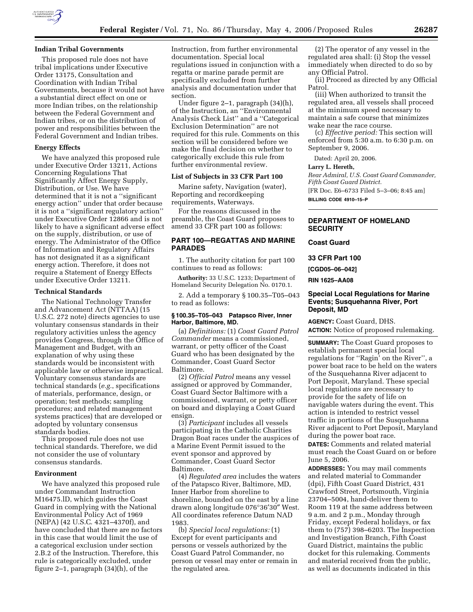

## **Indian Tribal Governments**

This proposed rule does not have tribal implications under Executive Order 13175, Consultation and Coordination with Indian Tribal Governments, because it would not have a substantial direct effect on one or more Indian tribes, on the relationship between the Federal Government and Indian tribes, or on the distribution of power and responsibilities between the Federal Government and Indian tribes.

### **Energy Effects**

We have analyzed this proposed rule under Executive Order 13211, Actions Concerning Regulations That Significantly Affect Energy Supply, Distribution, or Use. We have determined that it is not a ''significant energy action'' under that order because it is not a ''significant regulatory action'' under Executive Order 12866 and is not likely to have a significant adverse effect on the supply, distribution, or use of energy. The Administrator of the Office of Information and Regulatory Affairs has not designated it as a significant energy action. Therefore, it does not require a Statement of Energy Effects under Executive Order 13211.

### **Technical Standards**

The National Technology Transfer and Advancement Act (NTTAA) (15 U.S.C. 272 note) directs agencies to use voluntary consensus standards in their regulatory activities unless the agency provides Congress, through the Office of Management and Budget, with an explanation of why using these standards would be inconsistent with applicable law or otherwise impractical. Voluntary consensus standards are technical standards (*e.g.*, specifications of materials, performance, design, or operation; test methods; sampling procedures; and related management systems practices) that are developed or adopted by voluntary consensus standards bodies.

This proposed rule does not use technical standards. Therefore, we did not consider the use of voluntary consensus standards.

### **Environment**

We have analyzed this proposed rule under Commandant Instruction M16475.lD, which guides the Coast Guard in complying with the National Environmental Policy Act of 1969 (NEPA) (42 U.S.C. 4321–4370f), and have concluded that there are no factors in this case that would limit the use of a categorical exclusion under section 2.B.2 of the Instruction. Therefore, this rule is categorically excluded, under figure 2–1, paragraph (34)(h), of the

Instruction, from further environmental documentation. Special local regulations issued in conjunction with a regatta or marine parade permit are specifically excluded from further analysis and documentation under that section.

Under figure 2–1, paragraph (34)(h), of the Instruction, an ''Environmental Analysis Check List'' and a ''Categorical Exclusion Determination'' are not required for this rule. Comments on this section will be considered before we make the final decision on whether to categorically exclude this rule from further environmental review.

#### **List of Subjects in 33 CFR Part 100**

Marine safety, Navigation (water), Reporting and recordkeeping requirements, Waterways.

For the reasons discussed in the preamble, the Coast Guard proposes to amend 33 CFR part 100 as follows:

# **PART 100—REGATTAS AND MARINE PARADES**

1. The authority citation for part 100 continues to read as follows:

**Authority:** 33 U.S.C. 1233; Department of Homeland Security Delegation No. 0170.1.

2. Add a temporary § 100.35–T05–043 to read as follows:

### **§ 100.35–T05–043 Patapsco River, Inner Harbor, Baltimore, MD.**

(a) *Definitions:* (1) *Coast Guard Patrol Commander* means a commissioned, warrant, or petty officer of the Coast Guard who has been designated by the Commander, Coast Guard Sector Baltimore.

(2) *Official Patrol* means any vessel assigned or approved by Commander, Coast Guard Sector Baltimore with a commissioned, warrant, or petty officer on board and displaying a Coast Guard ensign.

(3) *Participant* includes all vessels participating in the Catholic Charities Dragon Boat races under the auspices of a Marine Event Permit issued to the event sponsor and approved by Commander, Coast Guard Sector Baltimore.

(4) *Regulated area* includes the waters of the Patapsco River, Baltimore, MD, Inner Harbor from shoreline to shoreline, bounded on the east by a line drawn along longitude 076°36′30″ West. All coordinates reference Datum NAD 1983.

(b) *Special local regulations:* (1) Except for event participants and persons or vessels authorized by the Coast Guard Patrol Commander, no person or vessel may enter or remain in the regulated area.

(2) The operator of any vessel in the regulated area shall: (i) Stop the vessel immediately when directed to do so by any Official Patrol.

(ii) Proceed as directed by any Official Patrol.

(iii) When authorized to transit the regulated area, all vessels shall proceed at the minimum speed necessary to maintain a safe course that minimizes wake near the race course.

(c) *Effective period:* This section will enforced from 5:30 a.m. to 6:30 p.m. on September 9, 2006.

Dated: April 20, 2006.

### **Larry L. Hereth,**

*Rear Admiral, U.S. Coast Guard Commander, Fifth Coast Guard District.* 

[FR Doc. E6–6733 Filed 5–3–06; 8:45 am] **BILLING CODE 4910–15–P** 

# **DEPARTMENT OF HOMELAND SECURITY**

**Coast Guard** 

**33 CFR Part 100** 

**[CGD05–06–042]** 

**RIN 1625–AA08** 

## **Special Local Regulations for Marine Events; Susquehanna River, Port Deposit, MD**

**AGENCY:** Coast Guard, DHS. **ACTION:** Notice of proposed rulemaking.

**SUMMARY:** The Coast Guard proposes to establish permanent special local regulations for ''Ragin' on the River'', a power boat race to be held on the waters of the Susquehanna River adjacent to Port Deposit, Maryland. These special local regulations are necessary to provide for the safety of life on navigable waters during the event. This action is intended to restrict vessel traffic in portions of the Susquehanna River adjacent to Port Deposit, Maryland during the power boat race.

**DATES:** Comments and related material must reach the Coast Guard on or before June 5, 2006.

**ADDRESSES:** You may mail comments and related material to Commander (dpi), Fifth Coast Guard District, 431 Crawford Street, Portsmouth, Virginia 23704–5004, hand-deliver them to Room 119 at the same address between 9 a.m. and 2 p.m., Monday through Friday, except Federal holidays, or fax them to (757) 398–6203. The Inspection and Investigation Branch, Fifth Coast Guard District, maintains the public docket for this rulemaking. Comments and material received from the public, as well as documents indicated in this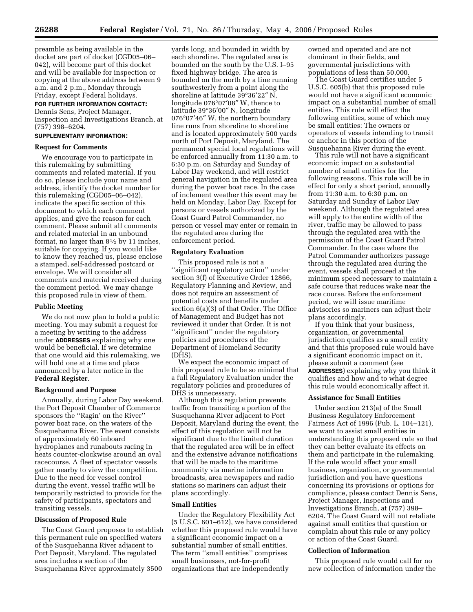preamble as being available in the docket are part of docket (CGD05–06– 042), will become part of this docket and will be available for inspection or copying at the above address between 9 a.m. and 2 p.m., Monday through Friday, except Federal holidays.

# **FOR FURTHER INFORMATION CONTACT:**

Dennis Sens, Project Manager, Inspection and Investigations Branch, at (757) 398–6204.

# **SUPPLEMENTARY INFORMATION:**

# **Request for Comments**

We encourage you to participate in this rulemaking by submitting comments and related material. If you do so, please include your name and address, identify the docket number for this rulemaking (CGD05–06–042), indicate the specific section of this document to which each comment applies, and give the reason for each comment. Please submit all comments and related material in an unbound format, no larger than 81⁄2 by 11 inches, suitable for copying. If you would like to know they reached us, please enclose a stamped, self-addressed postcard or envelope. We will consider all comments and material received during the comment period. We may change this proposed rule in view of them.

# **Public Meeting**

We do not now plan to hold a public meeting. You may submit a request for a meeting by writing to the address under **ADDRESSES** explaining why one would be beneficial. If we determine that one would aid this rulemaking, we will hold one at a time and place announced by a later notice in the **Federal Register**.

### **Background and Purpose**

Annually, during Labor Day weekend, the Port Deposit Chamber of Commerce sponsors the ''Ragin' on the River'' power boat race, on the waters of the Susquehanna River. The event consists of approximately 60 inboard hydroplanes and runabouts racing in heats counter-clockwise around an oval racecourse. A fleet of spectator vessels gather nearby to view the competition. Due to the need for vessel control during the event, vessel traffic will be temporarily restricted to provide for the safety of participants, spectators and transiting vessels.

### **Discussion of Proposed Rule**

The Coast Guard proposes to establish this permanent rule on specified waters of the Susquehanna River adjacent to Port Deposit, Maryland. The regulated area includes a section of the Susquehanna River approximately 3500

yards long, and bounded in width by each shoreline. The regulated area is bounded on the south by the U.S. I–95 fixed highway bridge. The area is bounded on the north by a line running southwesterly from a point along the shoreline at latitude 39°36′22″ N, longitude 076°07′08″ W, thence to latitude 39°36′00″ N, longitude 076°07′46″ W, the northern boundary line runs from shoreline to shoreline and is located approximately 500 yards north of Port Deposit, Maryland. The permanent special local regulations will be enforced annually from 11:30 a.m. to 6:30 p.m. on Saturday and Sunday of Labor Day weekend, and will restrict general navigation in the regulated area during the power boat race. In the case of inclement weather this event may be held on Monday, Labor Day. Except for persons or vessels authorized by the Coast Guard Patrol Commander, no person or vessel may enter or remain in the regulated area during the enforcement period.

### **Regulatory Evaluation**

This proposed rule is not a ''significant regulatory action'' under section 3(f) of Executive Order 12866, Regulatory Planning and Review, and does not require an assessment of potential costs and benefits under section 6(a)(3) of that Order. The Office of Management and Budget has not reviewed it under that Order. It is not ''significant'' under the regulatory policies and procedures of the Department of Homeland Security (DHS).

We expect the economic impact of this proposed rule to be so minimal that a full Regulatory Evaluation under the regulatory policies and procedures of DHS is unnecessary.

Although this regulation prevents traffic from transiting a portion of the Susquehanna River adjacent to Port Deposit, Maryland during the event, the effect of this regulation will not be significant due to the limited duration that the regulated area will be in effect and the extensive advance notifications that will be made to the maritime community via marine information broadcasts, area newspapers and radio stations so mariners can adjust their plans accordingly.

## **Small Entities**

Under the Regulatory Flexibility Act (5 U.S.C. 601–612), we have considered whether this proposed rule would have a significant economic impact on a substantial number of small entities. The term ''small entities'' comprises small businesses, not-for-profit organizations that are independently

owned and operated and are not dominant in their fields, and governmental jurisdictions with populations of less than 50,000.

The Coast Guard certifies under 5 U.S.C. 605(b) that this proposed rule would not have a significant economic impact on a substantial number of small entities. This rule will effect the following entities, some of which may be small entities: The owners or operators of vessels intending to transit or anchor in this portion of the Susquehanna River during the event.

This rule will not have a significant economic impact on a substantial number of small entities for the following reasons. This rule will be in effect for only a short period, annually from 11:30 a.m. to 6:30 p.m. on Saturday and Sunday of Labor Day weekend. Although the regulated area will apply to the entire width of the river, traffic may be allowed to pass through the regulated area with the permission of the Coast Guard Patrol Commander. In the case where the Patrol Commander authorizes passage through the regulated area during the event, vessels shall proceed at the minimum speed necessary to maintain a safe course that reduces wake near the race course. Before the enforcement period, we will issue maritime advisories so mariners can adjust their plans accordingly.

If you think that your business, organization, or governmental jurisdiction qualifies as a small entity and that this proposed rule would have a significant economic impact on it, please submit a comment (see **ADDRESSES**) explaining why you think it qualifies and how and to what degree this rule would economically affect it.

#### **Assistance for Small Entities**

Under section 213(a) of the Small Business Regulatory Enforcement Fairness Act of 1996 (Pub. L. 104–121), we want to assist small entities in understanding this proposed rule so that they can better evaluate its effects on them and participate in the rulemaking. If the rule would affect your small business, organization, or governmental jurisdiction and you have questions concerning its provisions or options for compliance, please contact Dennis Sens, Project Manager, Inspections and Investigations Branch, at (757) 398– 6204. The Coast Guard will not retaliate against small entities that question or complain about this rule or any policy or action of the Coast Guard.

### **Collection of Information**

This proposed rule would call for no new collection of information under the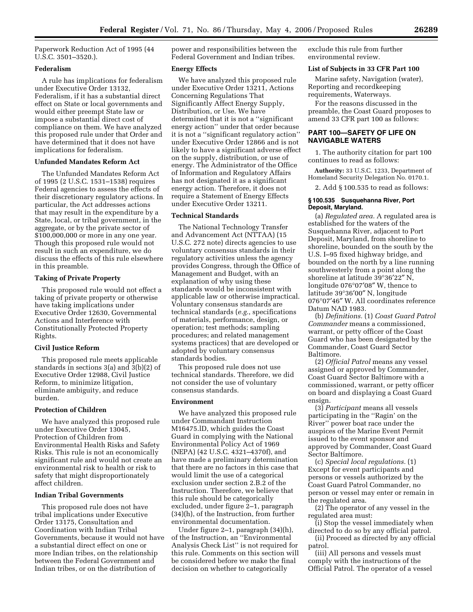Paperwork Reduction Act of 1995 (44 U.S.C. 3501–3520.).

# **Federalism**

A rule has implications for federalism under Executive Order 13132, Federalism, if it has a substantial direct effect on State or local governments and would either preempt State law or impose a substantial direct cost of compliance on them. We have analyzed this proposed rule under that Order and have determined that it does not have implications for federalism.

### **Unfunded Mandates Reform Act**

The Unfunded Mandates Reform Act of 1995 (2 U.S.C. 1531–1538) requires Federal agencies to assess the effects of their discretionary regulatory actions. In particular, the Act addresses actions that may result in the expenditure by a State, local, or tribal government, in the aggregate, or by the private sector of \$100,000,000 or more in any one year. Though this proposed rule would not result in such an expenditure, we do discuss the effects of this rule elsewhere in this preamble.

### **Taking of Private Property**

This proposed rule would not effect a taking of private property or otherwise have taking implications under Executive Order 12630, Governmental Actions and Interference with Constitutionally Protected Property Rights.

# **Civil Justice Reform**

This proposed rule meets applicable standards in sections 3(a) and 3(b)(2) of Executive Order 12988, Civil Justice Reform, to minimize litigation, eliminate ambiguity, and reduce burden.

### **Protection of Children**

We have analyzed this proposed rule under Executive Order 13045, Protection of Children from Environmental Health Risks and Safety Risks. This rule is not an economically significant rule and would not create an environmental risk to health or risk to safety that might disproportionately affect children.

#### **Indian Tribal Governments**

This proposed rule does not have tribal implications under Executive Order 13175, Consultation and Coordination with Indian Tribal Governments, because it would not have a substantial direct effect on one or more Indian tribes, on the relationship between the Federal Government and Indian tribes, or on the distribution of

power and responsibilities between the Federal Government and Indian tribes.

### **Energy Effects**

We have analyzed this proposed rule under Executive Order 13211, Actions Concerning Regulations That Significantly Affect Energy Supply, Distribution, or Use. We have determined that it is not a ''significant energy action'' under that order because it is not a ''significant regulatory action'' under Executive Order 12866 and is not likely to have a significant adverse effect on the supply, distribution, or use of energy. The Administrator of the Office of Information and Regulatory Affairs has not designated it as a significant energy action. Therefore, it does not require a Statement of Energy Effects under Executive Order 13211.

### **Technical Standards**

The National Technology Transfer and Advancement Act (NTTAA) (15 U.S.C. 272 note) directs agencies to use voluntary consensus standards in their regulatory activities unless the agency provides Congress, through the Office of Management and Budget, with an explanation of why using these standards would be inconsistent with applicable law or otherwise impractical. Voluntary consensus standards are technical standards (*e.g.*, specifications of materials, performance, design, or operation; test methods; sampling procedures; and related management systems practices) that are developed or adopted by voluntary consensus standards bodies.

This proposed rule does not use technical standards. Therefore, we did not consider the use of voluntary consensus standards.

## **Environment**

We have analyzed this proposed rule under Commandant Instruction M16475.lD, which guides the Coast Guard in complying with the National Environmental Policy Act of 1969 (NEPA) (42 U.S.C. 4321–4370f), and have made a preliminary determination that there are no factors in this case that would limit the use of a categorical exclusion under section 2.B.2 of the Instruction. Therefore, we believe that this rule should be categorically excluded, under figure 2–1, paragraph (34)(h), of the Instruction, from further environmental documentation.

Under figure 2–1, paragraph (34)(h), of the Instruction, an ''Environmental Analysis Check List'' is not required for this rule. Comments on this section will be considered before we make the final decision on whether to categorically

exclude this rule from further environmental review.

### **List of Subjects in 33 CFR Part 100**

Marine safety, Navigation (water), Reporting and recordkeeping requirements, Waterways.

For the reasons discussed in the preamble, the Coast Guard proposes to amend 33 CFR part 100 as follows:

# **PART 100—SAFETY OF LIFE ON NAVIGABLE WATERS**

1. The authority citation for part 100 continues to read as follows:

**Authority:** 33 U.S.C. 1233, Department of Homeland Security Delegation No. 0170.1.

2. Add § 100.535 to read as follows:

### **§ 100.535 Susquehanna River, Port Deposit, Maryland.**

(a) *Regulated area.* A regulated area is established for the waters of the Susquehanna River, adjacent to Port Deposit, Maryland, from shoreline to shoreline, bounded on the south by the U.S. I–95 fixed highway bridge, and bounded on the north by a line running southwesterly from a point along the shoreline at latitude 39°36′22″ N, longitude 076°07′08″ W, thence to latitude 39°36′00″ N, longitude 076°07′46″ W. All coordinates reference Datum NAD 1983.

(b) *Definitions.* (1) *Coast Guard Patrol Commander* means a commissioned, warrant, or petty officer of the Coast Guard who has been designated by the Commander, Coast Guard Sector Baltimore.

(2) *Official Patrol* means any vessel assigned or approved by Commander, Coast Guard Sector Baltimore with a commissioned, warrant, or petty officer on board and displaying a Coast Guard ensign.

(3) *Participant* means all vessels participating in the ''Ragin' on the River'' power boat race under the auspices of the Marine Event Permit issued to the event sponsor and approved by Commander, Coast Guard Sector Baltimore.

(c) *Special local regulations.* (1) Except for event participants and persons or vessels authorized by the Coast Guard Patrol Commander, no person or vessel may enter or remain in the regulated area.

(2) The operator of any vessel in the regulated area must:

(i) Stop the vessel immediately when directed to do so by any official patrol.

(ii) Proceed as directed by any official patrol.

(iii) All persons and vessels must comply with the instructions of the Official Patrol. The operator of a vessel